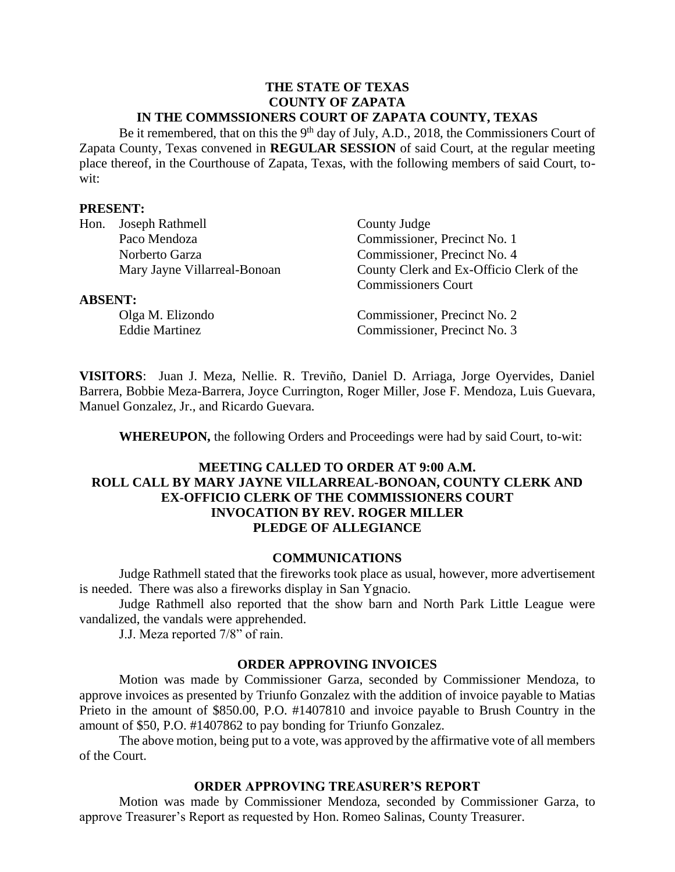#### **THE STATE OF TEXAS COUNTY OF ZAPATA IN THE COMMSSIONERS COURT OF ZAPATA COUNTY, TEXAS**

Be it remembered, that on this the 9<sup>th</sup> day of July, A.D., 2018, the Commissioners Court of Zapata County, Texas convened in **REGULAR SESSION** of said Court, at the regular meeting place thereof, in the Courthouse of Zapata, Texas, with the following members of said Court, towit:

#### **PRESENT:**

| Hon.           | Joseph Rathmell              | County Judge                             |  |
|----------------|------------------------------|------------------------------------------|--|
|                | Paco Mendoza                 | Commissioner, Precinct No. 1             |  |
|                | Norberto Garza               | Commissioner, Precinct No. 4             |  |
|                | Mary Jayne Villarreal-Bonoan | County Clerk and Ex-Officio Clerk of the |  |
|                |                              | <b>Commissioners Court</b>               |  |
| <b>ABSENT:</b> |                              |                                          |  |
|                | Olga M. Elizondo             | Commissioner, Precinct No. 2             |  |
|                | <b>Eddie Martinez</b>        | Commissioner, Precinct No. 3             |  |
|                |                              |                                          |  |

**VISITORS**: Juan J. Meza, Nellie. R. Treviño, Daniel D. Arriaga, Jorge Oyervides, Daniel Barrera, Bobbie Meza-Barrera, Joyce Currington, Roger Miller, Jose F. Mendoza, Luis Guevara, Manuel Gonzalez, Jr., and Ricardo Guevara.

**WHEREUPON,** the following Orders and Proceedings were had by said Court, to-wit:

### **MEETING CALLED TO ORDER AT 9:00 A.M. ROLL CALL BY MARY JAYNE VILLARREAL-BONOAN, COUNTY CLERK AND EX-OFFICIO CLERK OF THE COMMISSIONERS COURT INVOCATION BY REV. ROGER MILLER PLEDGE OF ALLEGIANCE**

#### **COMMUNICATIONS**

Judge Rathmell stated that the fireworks took place as usual, however, more advertisement is needed. There was also a fireworks display in San Ygnacio.

Judge Rathmell also reported that the show barn and North Park Little League were vandalized, the vandals were apprehended.

J.J. Meza reported 7/8" of rain.

#### **ORDER APPROVING INVOICES**

Motion was made by Commissioner Garza, seconded by Commissioner Mendoza, to approve invoices as presented by Triunfo Gonzalez with the addition of invoice payable to Matias Prieto in the amount of \$850.00, P.O. #1407810 and invoice payable to Brush Country in the amount of \$50, P.O. #1407862 to pay bonding for Triunfo Gonzalez.

The above motion, being put to a vote, was approved by the affirmative vote of all members of the Court.

#### **ORDER APPROVING TREASURER'S REPORT**

Motion was made by Commissioner Mendoza, seconded by Commissioner Garza, to approve Treasurer's Report as requested by Hon. Romeo Salinas, County Treasurer.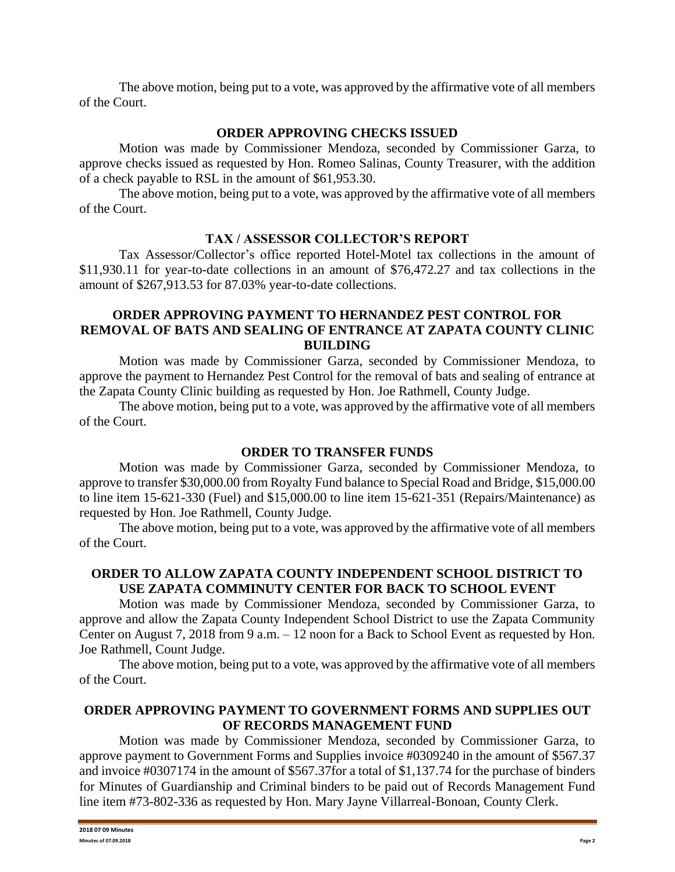The above motion, being put to a vote, was approved by the affirmative vote of all members of the Court.

# **ORDER APPROVING CHECKS ISSUED**

Motion was made by Commissioner Mendoza, seconded by Commissioner Garza, to approve checks issued as requested by Hon. Romeo Salinas, County Treasurer, with the addition of a check payable to RSL in the amount of \$61,953.30.

The above motion, being put to a vote, was approved by the affirmative vote of all members of the Court.

# **TAX / ASSESSOR COLLECTOR'S REPORT**

Tax Assessor/Collector's office reported Hotel-Motel tax collections in the amount of \$11,930.11 for year-to-date collections in an amount of \$76,472.27 and tax collections in the amount of \$267,913.53 for 87.03% year-to-date collections.

#### **ORDER APPROVING PAYMENT TO HERNANDEZ PEST CONTROL FOR REMOVAL OF BATS AND SEALING OF ENTRANCE AT ZAPATA COUNTY CLINIC BUILDING**

Motion was made by Commissioner Garza, seconded by Commissioner Mendoza, to approve the payment to Hernandez Pest Control for the removal of bats and sealing of entrance at the Zapata County Clinic building as requested by Hon. Joe Rathmell, County Judge.

The above motion, being put to a vote, was approved by the affirmative vote of all members of the Court.

# **ORDER TO TRANSFER FUNDS**

Motion was made by Commissioner Garza, seconded by Commissioner Mendoza, to approve to transfer \$30,000.00 from Royalty Fund balance to Special Road and Bridge, \$15,000.00 to line item 15-621-330 (Fuel) and \$15,000.00 to line item 15-621-351 (Repairs/Maintenance) as requested by Hon. Joe Rathmell, County Judge.

The above motion, being put to a vote, was approved by the affirmative vote of all members of the Court.

# **ORDER TO ALLOW ZAPATA COUNTY INDEPENDENT SCHOOL DISTRICT TO USE ZAPATA COMMINUTY CENTER FOR BACK TO SCHOOL EVENT**

Motion was made by Commissioner Mendoza, seconded by Commissioner Garza, to approve and allow the Zapata County Independent School District to use the Zapata Community Center on August 7, 2018 from 9 a.m. – 12 noon for a Back to School Event as requested by Hon. Joe Rathmell, Count Judge.

The above motion, being put to a vote, was approved by the affirmative vote of all members of the Court.

# **ORDER APPROVING PAYMENT TO GOVERNMENT FORMS AND SUPPLIES OUT OF RECORDS MANAGEMENT FUND**

Motion was made by Commissioner Mendoza, seconded by Commissioner Garza, to approve payment to Government Forms and Supplies invoice #0309240 in the amount of \$567.37 and invoice #0307174 in the amount of \$567.37for a total of \$1,137.74 for the purchase of binders for Minutes of Guardianship and Criminal binders to be paid out of Records Management Fund line item #73-802-336 as requested by Hon. Mary Jayne Villarreal-Bonoan, County Clerk.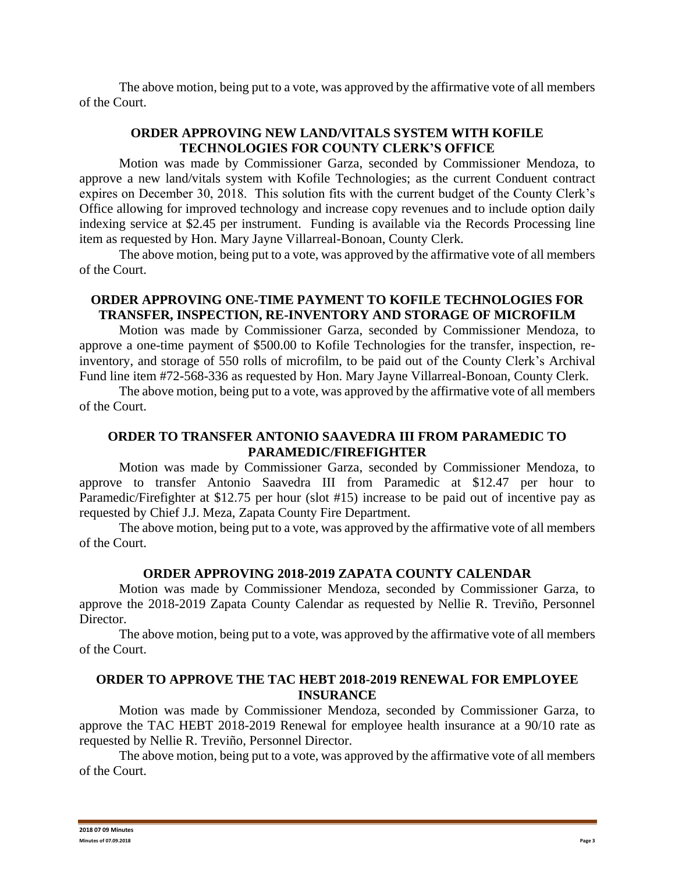The above motion, being put to a vote, was approved by the affirmative vote of all members of the Court.

# **ORDER APPROVING NEW LAND/VITALS SYSTEM WITH KOFILE TECHNOLOGIES FOR COUNTY CLERK'S OFFICE**

Motion was made by Commissioner Garza, seconded by Commissioner Mendoza, to approve a new land/vitals system with Kofile Technologies; as the current Conduent contract expires on December 30, 2018. This solution fits with the current budget of the County Clerk's Office allowing for improved technology and increase copy revenues and to include option daily indexing service at \$2.45 per instrument. Funding is available via the Records Processing line item as requested by Hon. Mary Jayne Villarreal-Bonoan, County Clerk.

The above motion, being put to a vote, was approved by the affirmative vote of all members of the Court.

### **ORDER APPROVING ONE-TIME PAYMENT TO KOFILE TECHNOLOGIES FOR TRANSFER, INSPECTION, RE-INVENTORY AND STORAGE OF MICROFILM**

Motion was made by Commissioner Garza, seconded by Commissioner Mendoza, to approve a one-time payment of \$500.00 to Kofile Technologies for the transfer, inspection, reinventory, and storage of 550 rolls of microfilm, to be paid out of the County Clerk's Archival Fund line item #72-568-336 as requested by Hon. Mary Jayne Villarreal-Bonoan, County Clerk.

The above motion, being put to a vote, was approved by the affirmative vote of all members of the Court.

### **ORDER TO TRANSFER ANTONIO SAAVEDRA III FROM PARAMEDIC TO PARAMEDIC/FIREFIGHTER**

Motion was made by Commissioner Garza, seconded by Commissioner Mendoza, to approve to transfer Antonio Saavedra III from Paramedic at \$12.47 per hour to Paramedic/Firefighter at \$12.75 per hour (slot #15) increase to be paid out of incentive pay as requested by Chief J.J. Meza, Zapata County Fire Department.

The above motion, being put to a vote, was approved by the affirmative vote of all members of the Court.

# **ORDER APPROVING 2018-2019 ZAPATA COUNTY CALENDAR**

Motion was made by Commissioner Mendoza, seconded by Commissioner Garza, to approve the 2018-2019 Zapata County Calendar as requested by Nellie R. Treviño, Personnel Director.

The above motion, being put to a vote, was approved by the affirmative vote of all members of the Court.

#### **ORDER TO APPROVE THE TAC HEBT 2018-2019 RENEWAL FOR EMPLOYEE INSURANCE**

Motion was made by Commissioner Mendoza, seconded by Commissioner Garza, to approve the TAC HEBT 2018-2019 Renewal for employee health insurance at a 90/10 rate as requested by Nellie R. Treviño, Personnel Director.

The above motion, being put to a vote, was approved by the affirmative vote of all members of the Court.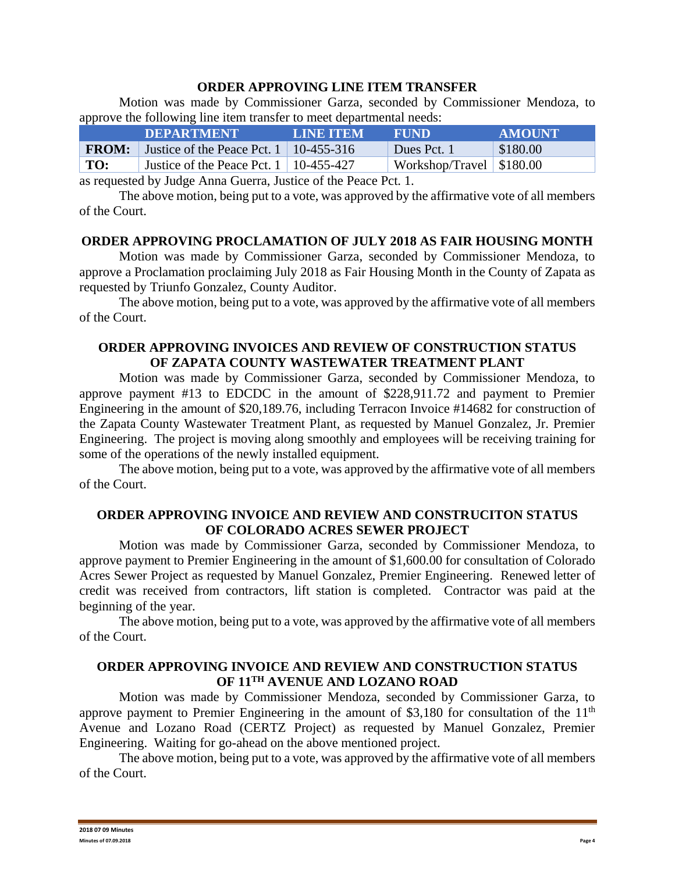#### **ORDER APPROVING LINE ITEM TRANSFER**

Motion was made by Commissioner Garza, seconded by Commissioner Mendoza, to approve the following line item transfer to meet departmental needs:

|              | <b>DEPARTMENT</b>                             | <b>LINE ITEM</b> | <b>FUND</b>                | <b>AMOUNT</b> |
|--------------|-----------------------------------------------|------------------|----------------------------|---------------|
| <b>FROM:</b> | Justice of the Peace Pct. $1 \mid 10-455-316$ |                  | Dues Pct. 1                | \$180.00      |
| TO:          | Justice of the Peace Pct. $1 \mid 10-455-427$ |                  | Workshop/Travel   \$180.00 |               |

as requested by Judge Anna Guerra, Justice of the Peace Pct. 1.

The above motion, being put to a vote, was approved by the affirmative vote of all members of the Court.

#### **ORDER APPROVING PROCLAMATION OF JULY 2018 AS FAIR HOUSING MONTH**

Motion was made by Commissioner Garza, seconded by Commissioner Mendoza, to approve a Proclamation proclaiming July 2018 as Fair Housing Month in the County of Zapata as requested by Triunfo Gonzalez, County Auditor.

The above motion, being put to a vote, was approved by the affirmative vote of all members of the Court.

# **ORDER APPROVING INVOICES AND REVIEW OF CONSTRUCTION STATUS OF ZAPATA COUNTY WASTEWATER TREATMENT PLANT**

Motion was made by Commissioner Garza, seconded by Commissioner Mendoza, to approve payment #13 to EDCDC in the amount of \$228,911.72 and payment to Premier Engineering in the amount of \$20,189.76, including Terracon Invoice #14682 for construction of the Zapata County Wastewater Treatment Plant, as requested by Manuel Gonzalez, Jr. Premier Engineering. The project is moving along smoothly and employees will be receiving training for some of the operations of the newly installed equipment.

The above motion, being put to a vote, was approved by the affirmative vote of all members of the Court.

# **ORDER APPROVING INVOICE AND REVIEW AND CONSTRUCITON STATUS OF COLORADO ACRES SEWER PROJECT**

Motion was made by Commissioner Garza, seconded by Commissioner Mendoza, to approve payment to Premier Engineering in the amount of \$1,600.00 for consultation of Colorado Acres Sewer Project as requested by Manuel Gonzalez, Premier Engineering. Renewed letter of credit was received from contractors, lift station is completed. Contractor was paid at the beginning of the year.

The above motion, being put to a vote, was approved by the affirmative vote of all members of the Court.

### **ORDER APPROVING INVOICE AND REVIEW AND CONSTRUCTION STATUS OF 11TH AVENUE AND LOZANO ROAD**

Motion was made by Commissioner Mendoza, seconded by Commissioner Garza, to approve payment to Premier Engineering in the amount of \$3,180 for consultation of the  $11<sup>th</sup>$ Avenue and Lozano Road (CERTZ Project) as requested by Manuel Gonzalez, Premier Engineering. Waiting for go-ahead on the above mentioned project.

The above motion, being put to a vote, was approved by the affirmative vote of all members of the Court.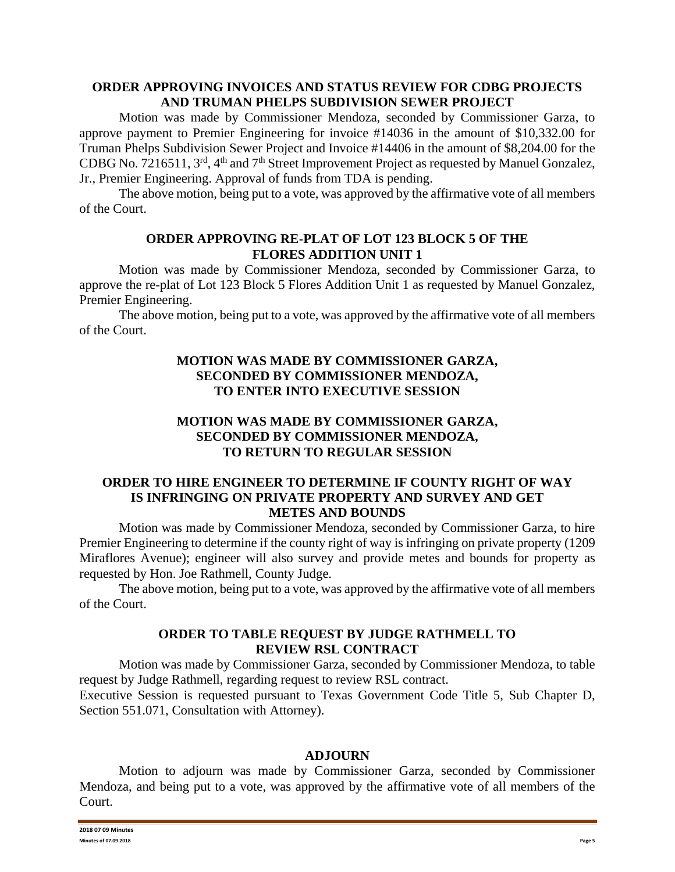#### **ORDER APPROVING INVOICES AND STATUS REVIEW FOR CDBG PROJECTS AND TRUMAN PHELPS SUBDIVISION SEWER PROJECT**

Motion was made by Commissioner Mendoza, seconded by Commissioner Garza, to approve payment to Premier Engineering for invoice #14036 in the amount of \$10,332.00 for Truman Phelps Subdivision Sewer Project and Invoice #14406 in the amount of \$8,204.00 for the CDBG No. 7216511, 3rd, 4th and 7th Street Improvement Project as requested by Manuel Gonzalez, Jr., Premier Engineering. Approval of funds from TDA is pending.

The above motion, being put to a vote, was approved by the affirmative vote of all members of the Court.

#### **ORDER APPROVING RE-PLAT OF LOT 123 BLOCK 5 OF THE FLORES ADDITION UNIT 1**

Motion was made by Commissioner Mendoza, seconded by Commissioner Garza, to approve the re-plat of Lot 123 Block 5 Flores Addition Unit 1 as requested by Manuel Gonzalez, Premier Engineering.

The above motion, being put to a vote, was approved by the affirmative vote of all members of the Court.

### **MOTION WAS MADE BY COMMISSIONER GARZA, SECONDED BY COMMISSIONER MENDOZA, TO ENTER INTO EXECUTIVE SESSION**

# **MOTION WAS MADE BY COMMISSIONER GARZA, SECONDED BY COMMISSIONER MENDOZA, TO RETURN TO REGULAR SESSION**

# **ORDER TO HIRE ENGINEER TO DETERMINE IF COUNTY RIGHT OF WAY IS INFRINGING ON PRIVATE PROPERTY AND SURVEY AND GET METES AND BOUNDS**

Motion was made by Commissioner Mendoza, seconded by Commissioner Garza, to hire Premier Engineering to determine if the county right of way is infringing on private property (1209 Miraflores Avenue); engineer will also survey and provide metes and bounds for property as requested by Hon. Joe Rathmell, County Judge.

The above motion, being put to a vote, was approved by the affirmative vote of all members of the Court.

# **ORDER TO TABLE REQUEST BY JUDGE RATHMELL TO REVIEW RSL CONTRACT**

Motion was made by Commissioner Garza, seconded by Commissioner Mendoza, to table request by Judge Rathmell, regarding request to review RSL contract.

Executive Session is requested pursuant to Texas Government Code Title 5, Sub Chapter D, Section 551.071, Consultation with Attorney).

#### **ADJOURN**

Motion to adjourn was made by Commissioner Garza, seconded by Commissioner Mendoza, and being put to a vote, was approved by the affirmative vote of all members of the Court.